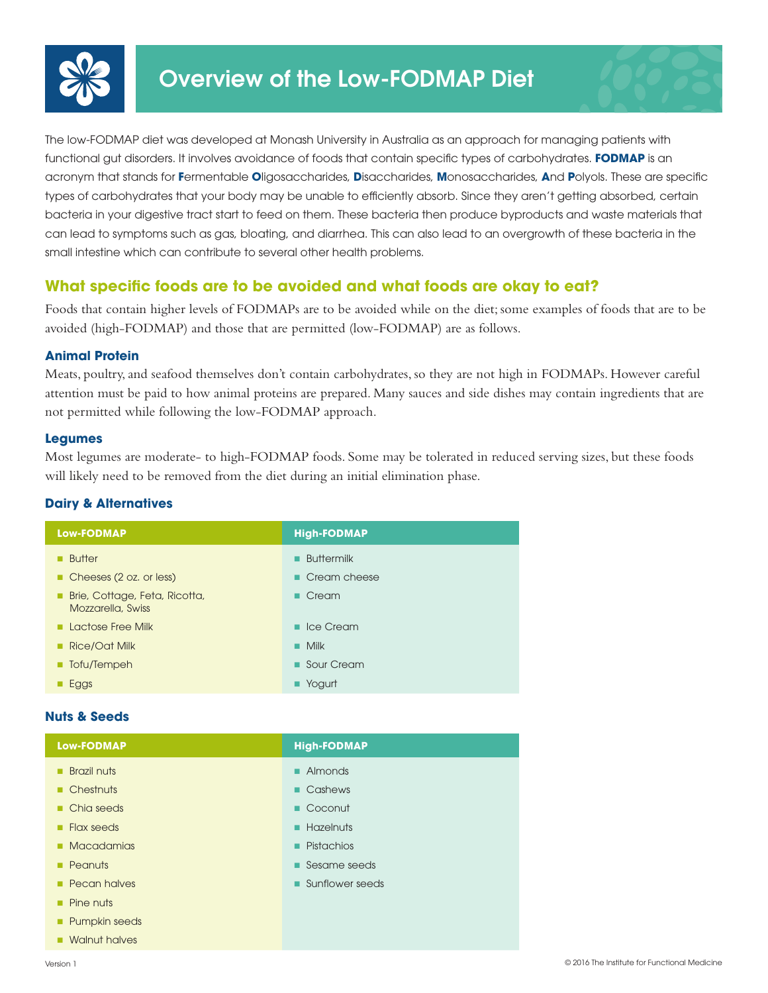



# **What specific foods are to be avoided and what foods are okay to eat?**

Foods that contain higher levels of FODMAPs are to be avoided while on the diet; some examples of foods that are to be avoided (high-FODMAP) and those that are permitted (low-FODMAP) are as follows.

## **Animal Protein**

Meats, poultry, and seafood themselves don't contain carbohydrates, so they are not high in FODMAPs. However careful attention must be paid to how animal proteins are prepared. Many sauces and side dishes may contain ingredients that are not permitted while following the low-FODMAP approach.

### **Legumes**

Most legumes are moderate- to high-FODMAP foods. Some may be tolerated in reduced serving sizes, but these foods will likely need to be removed from the diet during an initial elimination phase.

## **Dairy & Alternatives**

| <b>Low-FODMAP</b>                                  | <b>High-FODMAP</b>          |
|----------------------------------------------------|-----------------------------|
| <b>Butter</b>                                      | <b>Buttermilk</b>           |
| Cheeses (2 oz. or less)                            | $\blacksquare$ Cream cheese |
| Brie, Cottage, Feta, Ricotta,<br>Mozzarella, Swiss | $\blacksquare$ Cream        |
| <b>Lactose Free Milk</b>                           | $\blacksquare$ Ice Cream    |
| Rice/Oat Milk                                      | $\blacksquare$ Milk         |
| ■ Tofu/Tempeh                                      | Sour Cream                  |
| Eggs                                               | $\blacksquare$ Yogurt       |

### **Nuts & Seeds**

| <b>Low-FODMAP</b>         | <b>High-FODMAP</b> |
|---------------------------|--------------------|
| <b>Brazil nuts</b><br>٠   | Almonds<br>٠       |
| $\blacksquare$ Chestnuts  | • Cashews          |
| • Chia seeds              | Coconut            |
| $\blacksquare$ Flax seeds | Hazelnuts          |
| • Macadamias              | Pistachios<br>٠    |
| Peanuts<br>٠              | Sesame seeds       |
| <b>Pecan halves</b>       | Sunflower seeds    |
| Pine nuts<br>٠            |                    |
| <b>Pumpkin seeds</b><br>٠ |                    |
| • Walnut halves           |                    |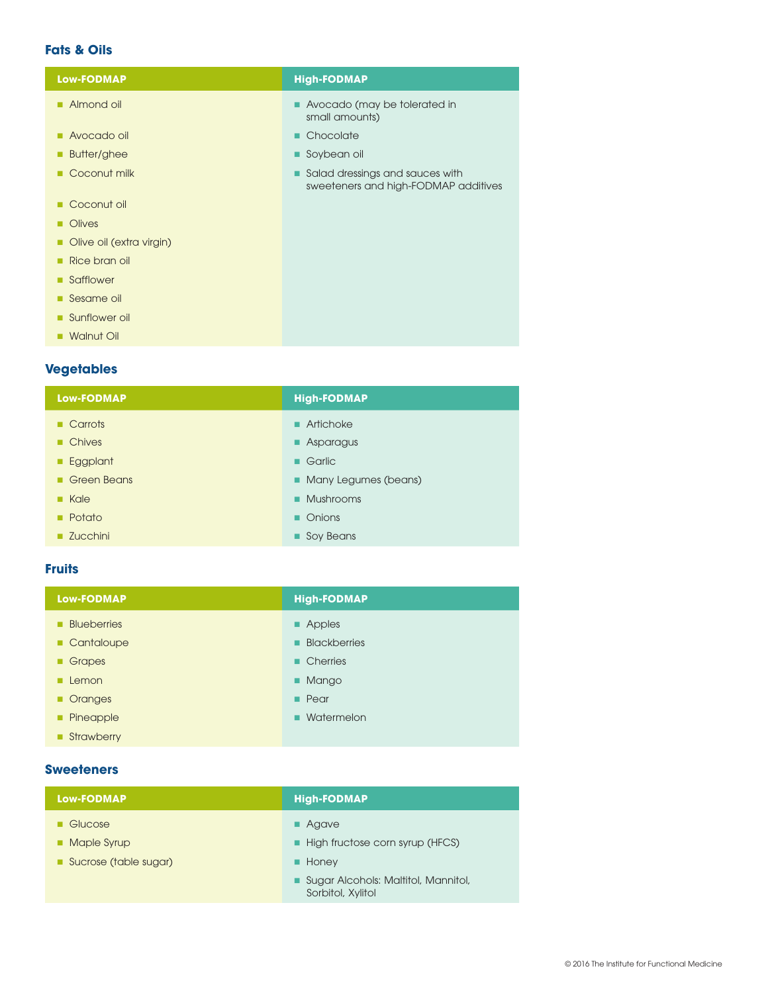## **Fats & Oils**

| <b>Low-FODMAP</b>        | <b>High-FODMAP</b>                                                      |
|--------------------------|-------------------------------------------------------------------------|
| Almond oil               | Avocado (may be tolerated in<br>small amounts)                          |
| Avocado oil              | • Chocolate                                                             |
| Butter/ghee              | Soybean oil                                                             |
| Coconut milk             | Salad dressings and sauces with<br>sweeteners and high-FODMAP additives |
| Coconut oil              |                                                                         |
| <b>Olives</b>            |                                                                         |
| Olive oil (extra virgin) |                                                                         |
| Rice bran oil<br>п       |                                                                         |
| Safflower                |                                                                         |
| Sesame oil               |                                                                         |
| Sunflower oil            |                                                                         |
| <b>Walnut Oil</b><br>п   |                                                                         |
|                          |                                                                         |

## **Vegetables**

| <b>Low-FODMAP</b>     | <b>High-FODMAP</b>       |
|-----------------------|--------------------------|
| <b>Carrots</b>        | $\blacksquare$ Artichoke |
| ■ Chives              | • Asparagus              |
| Eggplant<br>٠         | ■ Garlic                 |
| Green Beans           | • Many Legumes (beans)   |
| $R$ Kale              | • Mushrooms              |
| $\blacksquare$ Potato | • Onions                 |
| <b>Zucchini</b>       | Soy Beans                |

## **Fruits**

| Low-FODMAP         | <b>High-FODMAP</b>  |
|--------------------|---------------------|
| <b>Blueberries</b> | • Apples            |
| Cantaloupe         | <b>Blackberries</b> |
| Grapes             | • Cherries          |
| Lemon              | • Mango             |
| • Oranges          | $\blacksquare$ Pear |
| Pineapple          | • Watermelon        |
| Strawberry         |                     |

#### **Sweeteners**

| <b>Low-FODMAP</b>     | <b>High-FODMAP</b>                                       |
|-----------------------|----------------------------------------------------------|
| ■ Glucose             | <b>Agave</b>                                             |
| • Maple Syrup         | High fructose corn syrup (HFCS)                          |
| Sucrose (table sugar) | Honey<br>■                                               |
|                       | Sugar Alcohols: Maltitol, Mannitol,<br>Sorbitol, Xylitol |